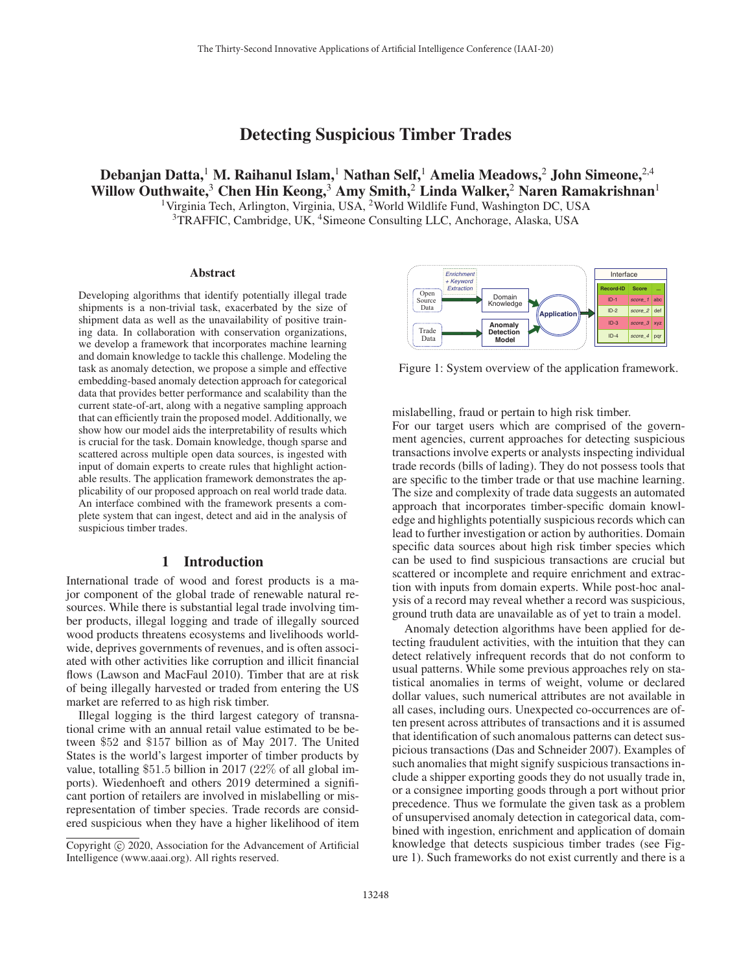# Detecting Suspicious Timber Trades

Debanjan Datta,<sup>1</sup> M. Raihanul Islam,<sup>1</sup> Nathan Self,<sup>1</sup> Amelia Meadows,<sup>2</sup> John Simeone,<sup>2,4</sup> Willow Outhwaite,<sup>3</sup> Chen Hin Keong,<sup>3</sup> Amy Smith,<sup>2</sup> Linda Walker,<sup>2</sup> Naren Ramakrishnan<sup>1</sup> <sup>1</sup>Virginia Tech, Arlington, Virginia, USA, <sup>2</sup>World Wildlife Fund, Washington DC, USA <sup>3</sup>TRAFFIC, Cambridge, UK, <sup>4</sup>Simeone Consulting LLC, Anchorage, Alaska, USA

#### Abstract

Developing algorithms that identify potentially illegal trade shipments is a non-trivial task, exacerbated by the size of shipment data as well as the unavailability of positive training data. In collaboration with conservation organizations, we develop a framework that incorporates machine learning and domain knowledge to tackle this challenge. Modeling the task as anomaly detection, we propose a simple and effective embedding-based anomaly detection approach for categorical data that provides better performance and scalability than the current state-of-art, along with a negative sampling approach that can efficiently train the proposed model. Additionally, we show how our model aids the interpretability of results which is crucial for the task. Domain knowledge, though sparse and scattered across multiple open data sources, is ingested with input of domain experts to create rules that highlight actionable results. The application framework demonstrates the applicability of our proposed approach on real world trade data. An interface combined with the framework presents a complete system that can ingest, detect and aid in the analysis of suspicious timber trades.

### 1 Introduction

International trade of wood and forest products is a major component of the global trade of renewable natural resources. While there is substantial legal trade involving timber products, illegal logging and trade of illegally sourced wood products threatens ecosystems and livelihoods worldwide, deprives governments of revenues, and is often associated with other activities like corruption and illicit financial flows (Lawson and MacFaul 2010). Timber that are at risk of being illegally harvested or traded from entering the US market are referred to as high risk timber.

Illegal logging is the third largest category of transnational crime with an annual retail value estimated to be between \$52 and \$157 billion as of May 2017. The United States is the world's largest importer of timber products by value, totalling \$51.5 billion in 2017 (22% of all global imports). Wiedenhoeft and others 2019 determined a significant portion of retailers are involved in mislabelling or misrepresentation of timber species. Trade records are considered suspicious when they have a higher likelihood of item



Figure 1: System overview of the application framework.

mislabelling, fraud or pertain to high risk timber.

For our target users which are comprised of the government agencies, current approaches for detecting suspicious transactions involve experts or analysts inspecting individual trade records (bills of lading). They do not possess tools that are specific to the timber trade or that use machine learning. The size and complexity of trade data suggests an automated approach that incorporates timber-specific domain knowledge and highlights potentially suspicious records which can lead to further investigation or action by authorities. Domain specific data sources about high risk timber species which can be used to find suspicious transactions are crucial but scattered or incomplete and require enrichment and extraction with inputs from domain experts. While post-hoc analysis of a record may reveal whether a record was suspicious, ground truth data are unavailable as of yet to train a model.

Anomaly detection algorithms have been applied for detecting fraudulent activities, with the intuition that they can detect relatively infrequent records that do not conform to usual patterns. While some previous approaches rely on statistical anomalies in terms of weight, volume or declared dollar values, such numerical attributes are not available in all cases, including ours. Unexpected co-occurrences are often present across attributes of transactions and it is assumed that identification of such anomalous patterns can detect suspicious transactions (Das and Schneider 2007). Examples of such anomalies that might signify suspicious transactions include a shipper exporting goods they do not usually trade in, or a consignee importing goods through a port without prior precedence. Thus we formulate the given task as a problem of unsupervised anomaly detection in categorical data, combined with ingestion, enrichment and application of domain knowledge that detects suspicious timber trades (see Figure 1). Such frameworks do not exist currently and there is a

Copyright  $\odot$  2020, Association for the Advancement of Artificial Intelligence (www.aaai.org). All rights reserved.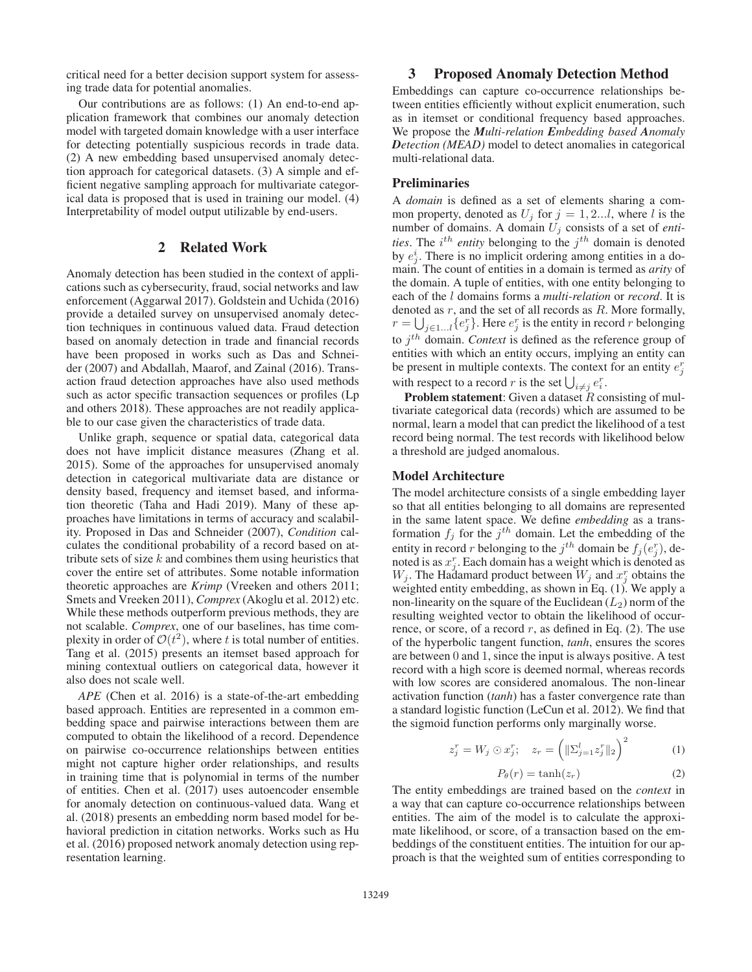critical need for a better decision support system for assessing trade data for potential anomalies.

Our contributions are as follows: (1) An end-to-end application framework that combines our anomaly detection model with targeted domain knowledge with a user interface for detecting potentially suspicious records in trade data. (2) A new embedding based unsupervised anomaly detection approach for categorical datasets. (3) A simple and efficient negative sampling approach for multivariate categorical data is proposed that is used in training our model. (4) Interpretability of model output utilizable by end-users.

### 2 Related Work

Anomaly detection has been studied in the context of applications such as cybersecurity, fraud, social networks and law enforcement (Aggarwal 2017). Goldstein and Uchida (2016) provide a detailed survey on unsupervised anomaly detection techniques in continuous valued data. Fraud detection based on anomaly detection in trade and financial records have been proposed in works such as Das and Schneider (2007) and Abdallah, Maarof, and Zainal (2016). Transaction fraud detection approaches have also used methods such as actor specific transaction sequences or profiles (Lp and others 2018). These approaches are not readily applicable to our case given the characteristics of trade data.

Unlike graph, sequence or spatial data, categorical data does not have implicit distance measures (Zhang et al. 2015). Some of the approaches for unsupervised anomaly detection in categorical multivariate data are distance or density based, frequency and itemset based, and information theoretic (Taha and Hadi 2019). Many of these approaches have limitations in terms of accuracy and scalability. Proposed in Das and Schneider (2007), *Condition* calculates the conditional probability of a record based on attribute sets of size  $k$  and combines them using heuristics that cover the entire set of attributes. Some notable information theoretic approaches are *Krimp* (Vreeken and others 2011; Smets and Vreeken 2011), *Comprex* (Akoglu et al. 2012) etc. While these methods outperform previous methods, they are not scalable. *Comprex*, one of our baselines, has time complexity in order of  $\mathcal{O}(t^2)$ , where t is total number of entities.<br>Tang et al. (2015) presents an itemset based approach for Tang et al. (2015) presents an itemset based approach for mining contextual outliers on categorical data, however it also does not scale well.

*APE* (Chen et al. 2016) is a state-of-the-art embedding based approach. Entities are represented in a common embedding space and pairwise interactions between them are computed to obtain the likelihood of a record. Dependence on pairwise co-occurrence relationships between entities might not capture higher order relationships, and results in training time that is polynomial in terms of the number of entities. Chen et al. (2017) uses autoencoder ensemble for anomaly detection on continuous-valued data. Wang et al. (2018) presents an embedding norm based model for behavioral prediction in citation networks. Works such as Hu et al. (2016) proposed network anomaly detection using representation learning.

## 3 Proposed Anomaly Detection Method

Embeddings can capture co-occurrence relationships between entities efficiently without explicit enumeration, such as in itemset or conditional frequency based approaches. We propose the *Multi-relation Embedding based Anomaly Detection (MEAD)* model to detect anomalies in categorical multi-relational data.

#### Preliminaries

A *domain* is defined as a set of elements sharing a common property, denoted as  $U_j$  for  $j = 1, 2...l$ , where l is the number of domains. A domain  $U_j$  consists of a set of *enti*ties. The  $i^{th}$  entity belonging to the  $j^{th}$  domain is denoted by  $e_j^i$ . There is no implicit ordering among entities in a domain. The count of entities in a domain is termed as *arity* of the domain. A tuple of entities, with one entity belonging to each of the l domains forms a *multi-relation* or *record*. It is denoted as  $r$ , and the set of all records as  $R$ . More formally,  $r = \bigcup_{j \in 1...i} \{e_j^r\}$ . Here  $e_j^r$  is the entity in record r belonging to  $j<sup>th</sup>$  domain. *Context* is defined as the reference group of entities with which an entity occurs, implying an entity can be present in multiple contexts. The context for an entity  $e_j^r$ with respect to a record r is the set  $\bigcup_{i \neq j} e_i^r$ .

**Problem statement:** Given a dataset  $R$  consisting of multivariate categorical data (records) which are assumed to be normal, learn a model that can predict the likelihood of a test record being normal. The test records with likelihood below a threshold are judged anomalous.

#### Model Architecture

The model architecture consists of a single embedding layer so that all entities belonging to all domains are represented in the same latent space. We define *embedding* as a transformation  $f_j$  for the  $j<sup>th</sup>$  domain. Let the embedding of the entity in record r belonging to the  $j^{th}$  domain be  $f_j(e_j^r)$ , denoted is as  $x_j^r$ . Each domain has a weight which is denoted as noted is as  $x_j^r$ . Each domain has a weight which is denoted as  $W_j$ . The Hadamard product between  $W_j$  and  $x_j^r$  obtains the weighted entity embedding, as shown in Eq. (1). We apply a non-linearity on the square of the Euclidean  $(L_2)$  norm of the resulting weighted vector to obtain the likelihood of occurrence, or score, of a record  $r$ , as defined in Eq. (2). The use of the hyperbolic tangent function, *tanh*, ensures the scores are between 0 and 1, since the input is always positive. A test record with a high score is deemed normal, whereas records with low scores are considered anomalous. The non-linear activation function (*tanh*) has a faster convergence rate than a standard logistic function (LeCun et al. 2012). We find that the sigmoid function performs only marginally worse.

$$
z_j^r = W_j \odot x_j^r; \quad z_r = \left( \| \Sigma_{j=1}^l z_j^r \|_2 \right)^2 \tag{1}
$$

$$
P_{\theta}(r) = \tanh(z_r) \tag{2}
$$

 $P_{\theta}(r) = \tanh(z_r)$  (2)<br>The entity embeddings are trained based on the *context* in a way that can capture co-occurrence relationships between entities. The aim of the model is to calculate the approximate likelihood, or score, of a transaction based on the embeddings of the constituent entities. The intuition for our approach is that the weighted sum of entities corresponding to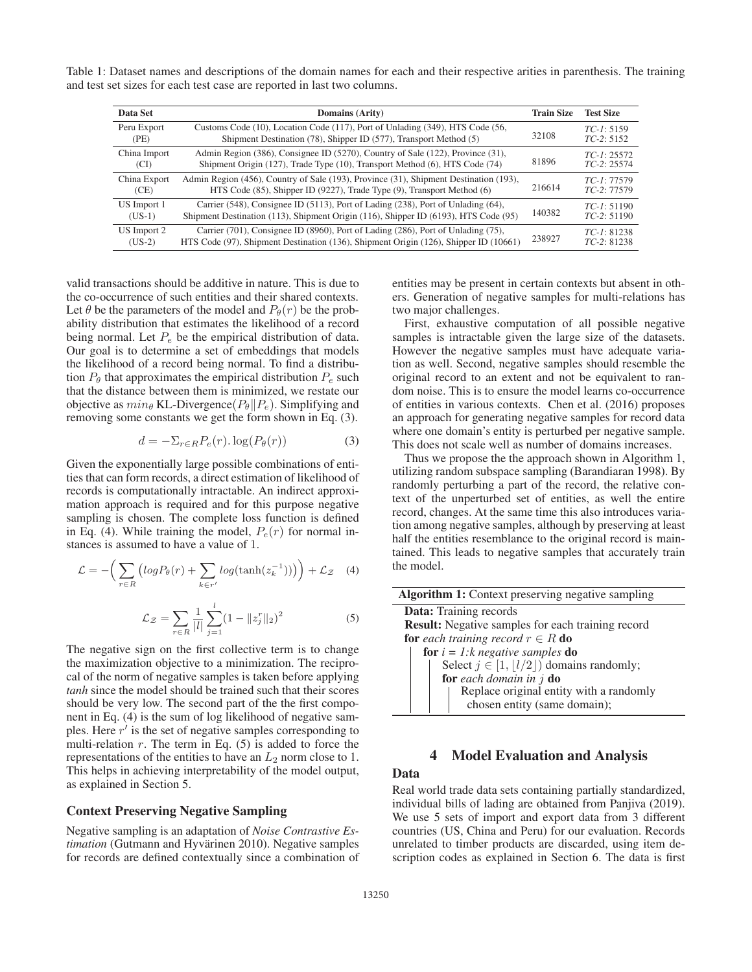Table 1: Dataset names and descriptions of the domain names for each and their respective arities in parenthesis. The training and test set sizes for each test case are reported in last two columns.

| Data Set     | <b>Domains (Arity)</b>                                                                | <b>Train Size</b> | <b>Test Size</b> |
|--------------|---------------------------------------------------------------------------------------|-------------------|------------------|
| Peru Export  | Customs Code (10), Location Code (117), Port of Unlading (349), HTS Code (56,         | 32108             | $TC-I: 5159$     |
| (PE)         | Shipment Destination (78), Shipper ID (577), Transport Method (5)                     |                   | $TC-2: 5152$     |
| China Import | Admin Region (386), Consignee ID (5270), Country of Sale (122), Province (31),        | 81896             | $TC-I: 25572$    |
| (CI)         | Shipment Origin (127), Trade Type (10), Transport Method (6), HTS Code (74)           |                   | $TC-2: 25574$    |
| China Export | Admin Region (456), Country of Sale (193), Province (31), Shipment Destination (193), | 216614            | $TC-I: 77579$    |
| (CE)         | HTS Code (85), Shipper ID (9227), Trade Type (9), Transport Method (6)                |                   | $TC-2: 77579$    |
| US Import 1  | Carrier (548), Consignee ID (5113), Port of Lading (238), Port of Unlading (64),      | 140382            | $TC-I: 51190$    |
| $(US-1)$     | Shipment Destination (113), Shipment Origin (116), Shipper ID (6193), HTS Code (95)   |                   | $TC-2: 51190$    |
| US Import 2  | Carrier (701), Consignee ID (8960), Port of Lading (286), Port of Unlading (75),      | 238927            | $TC-I: 81238$    |
| $(US-2)$     | HTS Code (97), Shipment Destination (136), Shipment Origin (126), Shipper ID (10661)  |                   | $TC-2: 81238$    |

valid transactions should be additive in nature. This is due to the co-occurrence of such entities and their shared contexts. Let  $\theta$  be the parameters of the model and  $P_{\theta}(r)$  be the probability distribution that estimates the likelihood of a record being normal. Let  $P_e$  be the empirical distribution of data. Our goal is to determine a set of embeddings that models the likelihood of a record being normal. To find a distribution  $P_{\theta}$  that approximates the empirical distribution  $P_e$  such that the distance between them is minimized, we restate our objective as  $min_{\theta}$  KL-Divergence( $P_{\theta}$ || $P_e$ ). Simplifying and removing some constants we get the form shown in Eq. (3) removing some constants we get the form shown in Eq. (3).

$$
d = -\Sigma_{r \in R} P_e(r) \cdot \log(P_\theta(r)) \tag{3}
$$

Given the exponentially large possible combinations of entities that can form records, a direct estimation of likelihood of records is computationally intractable. An indirect approximation approach is required and for this purpose negative sampling is chosen. The complete loss function is defined in Eq. (4). While training the model,  $P_e(r)$  for normal instances is assumed to have a value of 1.

$$
\mathcal{L} = -\bigg(\sum_{r \in R} \big( \log P_{\theta}(r) + \sum_{k \in r'} \log(\tanh(z_k^{-1})) \big) \bigg) + \mathcal{L}_{\mathcal{Z}} \quad (4)
$$

$$
\mathcal{L}z = \sum_{r \in R} \frac{1}{|l|} \sum_{j=1}^{l} (1 - ||z_j^r||_2)^2
$$
 (5)

The negative sign on the first collective term is to change the maximization objective to a minimization. The reciprocal of the norm of negative samples is taken before applying *tanh* since the model should be trained such that their scores should be very low. The second part of the the first component in Eq. (4) is the sum of log likelihood of negative samples. Here  $r'$  is the set of negative samples corresponding to multi-relation  $r$ . The term in Eq.  $(5)$  is added to force the representations of the entities to have an  $L_2$  norm close to 1. This helps in achieving interpretability of the model output, as explained in Section 5.

### Context Preserving Negative Sampling

Negative sampling is an adaptation of *Noise Contrastive Estimation* (Gutmann and Hyvärinen 2010). Negative samples for records are defined contextually since a combination of entities may be present in certain contexts but absent in others. Generation of negative samples for multi-relations has two major challenges.

First, exhaustive computation of all possible negative samples is intractable given the large size of the datasets. However the negative samples must have adequate variation as well. Second, negative samples should resemble the original record to an extent and not be equivalent to random noise. This is to ensure the model learns co-occurrence of entities in various contexts. Chen et al. (2016) proposes an approach for generating negative samples for record data where one domain's entity is perturbed per negative sample. This does not scale well as number of domains increases.

Thus we propose the the approach shown in Algorithm 1, utilizing random subspace sampling (Barandiaran 1998). By randomly perturbing a part of the record, the relative context of the unperturbed set of entities, as well the entire record, changes. At the same time this also introduces variation among negative samples, although by preserving at least half the entities resemblance to the original record is maintained. This leads to negative samples that accurately train the model.

| <b>Algorithm 1:</b> Context preserving negative sampling                |
|-------------------------------------------------------------------------|
| <b>Data:</b> Training records                                           |
| <b>Result:</b> Negative samples for each training record                |
| <b>for</b> each training record $r \in R$ <b>do</b>                     |
| for $i = 1:k$ negative samples do                                       |
| Select $j \in [1,  l/2 )$ domains randomly;                             |
| for each domain in $j$ do                                               |
|                                                                         |
|                                                                         |
| Replace original entity with a randomly<br>chosen entity (same domain); |

# 4 Model Evaluation and Analysis

### Data

Real world trade data sets containing partially standardized, individual bills of lading are obtained from Panjiva (2019). We use 5 sets of import and export data from 3 different countries (US, China and Peru) for our evaluation. Records unrelated to timber products are discarded, using item description codes as explained in Section 6. The data is first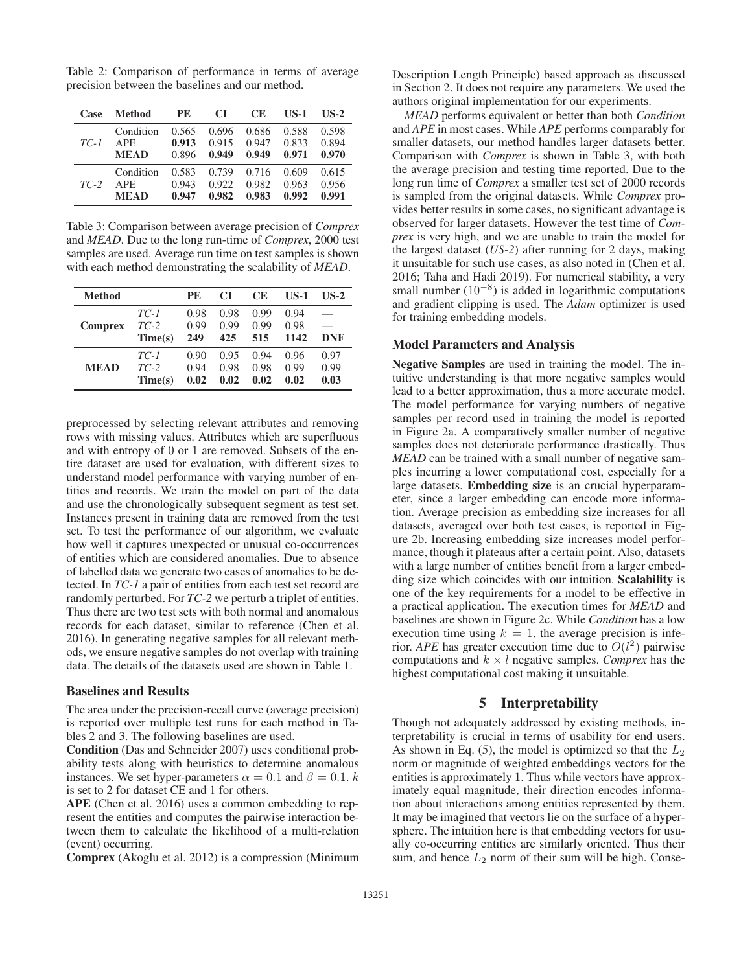Table 2: Comparison of performance in terms of average precision between the baselines and our method.

| Case   | Method      | <b>PE</b> | CI    | CЕ    | <b>US-1</b> | $US-2$ |
|--------|-------------|-----------|-------|-------|-------------|--------|
| $TC-1$ | Condition   | 0.565     | 0.696 | 0.686 | 0.588       | 0.598  |
|        | APE.        | 0.913     | 0.915 | 0.947 | 0.833       | 0.894  |
|        | <b>MEAD</b> | 0.896     | 0.949 | 0.949 | 0.971       | 0.970  |
| $TC-2$ | Condition   | 0.583     | 0.739 | 0.716 | 0.609       | 0.615  |
|        | APE.        | 0.943     | 0.922 | 0.982 | 0.963       | 0.956  |
|        | MEAD        | 0.947     | 0.982 | 0.983 | 0.992       | 0.991  |

Table 3: Comparison between average precision of *Comprex* and *MEAD*. Due to the long run-time of *Comprex*, 2000 test samples are used. Average run time on test samples is shown with each method demonstrating the scalability of *MEAD*.

| <b>Method</b>  |         | PE   | CІ   | <b>CE</b> | US-1 | $US-2$     |
|----------------|---------|------|------|-----------|------|------------|
|                | $TC-1$  | 0.98 | 0.98 | 0.99      | 0.94 |            |
| <b>Comprex</b> | $TC-2$  | 0.99 | 0.99 | 0.99      | 0.98 |            |
|                | Time(s) | 249  | 425  | 515       | 1142 | <b>DNF</b> |
|                | $TC-1$  | 0.90 | 0.95 | 0.94      | 0.96 | 0.97       |
| <b>MEAD</b>    | $TC-2$  | 0.94 | 0.98 | 0.98      | 0.99 | 0.99       |
|                | Time(s) | 0.02 | 0.02 | 0.02      | 0.02 | 0.03       |

preprocessed by selecting relevant attributes and removing rows with missing values. Attributes which are superfluous and with entropy of 0 or 1 are removed. Subsets of the entire dataset are used for evaluation, with different sizes to understand model performance with varying number of entities and records. We train the model on part of the data and use the chronologically subsequent segment as test set. Instances present in training data are removed from the test set. To test the performance of our algorithm, we evaluate how well it captures unexpected or unusual co-occurrences of entities which are considered anomalies. Due to absence of labelled data we generate two cases of anomalies to be detected. In *TC-1* a pair of entities from each test set record are randomly perturbed. For *TC-2* we perturb a triplet of entities. Thus there are two test sets with both normal and anomalous records for each dataset, similar to reference (Chen et al. 2016). In generating negative samples for all relevant methods, we ensure negative samples do not overlap with training data. The details of the datasets used are shown in Table 1.

#### Baselines and Results

The area under the precision-recall curve (average precision) is reported over multiple test runs for each method in Tables 2 and 3. The following baselines are used.

Condition (Das and Schneider 2007) uses conditional probability tests along with heuristics to determine anomalous instances. We set hyper-parameters  $\alpha = 0.1$  and  $\beta = 0.1$ . k is set to 2 for dataset CE and 1 for others.

APE (Chen et al. 2016) uses a common embedding to represent the entities and computes the pairwise interaction between them to calculate the likelihood of a multi-relation (event) occurring.

Comprex (Akoglu et al. 2012) is a compression (Minimum

Description Length Principle) based approach as discussed in Section 2. It does not require any parameters. We used the authors original implementation for our experiments.

*MEAD* performs equivalent or better than both *Condition* and *APE* in most cases. While *APE* performs comparably for smaller datasets, our method handles larger datasets better. Comparison with *Comprex* is shown in Table 3, with both the average precision and testing time reported. Due to the long run time of *Comprex* a smaller test set of 2000 records is sampled from the original datasets. While *Comprex* provides better results in some cases, no significant advantage is observed for larger datasets. However the test time of *Comprex* is very high, and we are unable to train the model for the largest dataset (*US-2*) after running for 2 days, making it unsuitable for such use cases, as also noted in (Chen et al. 2016; Taha and Hadi 2019). For numerical stability, a very small number  $(10^{-8})$  is added in logarithmic computations and gradient clipping is used. The *Adam* optimizer is used for training embedding models.

#### Model Parameters and Analysis

Negative Samples are used in training the model. The intuitive understanding is that more negative samples would lead to a better approximation, thus a more accurate model. The model performance for varying numbers of negative samples per record used in training the model is reported in Figure 2a. A comparatively smaller number of negative samples does not deteriorate performance drastically. Thus *MEAD* can be trained with a small number of negative samples incurring a lower computational cost, especially for a large datasets. Embedding size is an crucial hyperparameter, since a larger embedding can encode more information. Average precision as embedding size increases for all datasets, averaged over both test cases, is reported in Figure 2b. Increasing embedding size increases model performance, though it plateaus after a certain point. Also, datasets with a large number of entities benefit from a larger embedding size which coincides with our intuition. Scalability is one of the key requirements for a model to be effective in a practical application. The execution times for *MEAD* and baselines are shown in Figure 2c. While *Condition* has a low execution time using  $k = 1$ , the average precision is inferior. *APE* has greater execution time due to  $O(l^2)$  pairwise<br>computations and  $k \times l$  negative samples. *Comprex* has the computations and  $k \times l$  negative samples. *Comprex* has the highest computational cost making it unsuitable.

# 5 Interpretability

Though not adequately addressed by existing methods, interpretability is crucial in terms of usability for end users. As shown in Eq. (5), the model is optimized so that the  $L_2$ norm or magnitude of weighted embeddings vectors for the entities is approximately 1. Thus while vectors have approximately equal magnitude, their direction encodes information about interactions among entities represented by them. It may be imagined that vectors lie on the surface of a hypersphere. The intuition here is that embedding vectors for usually co-occurring entities are similarly oriented. Thus their sum, and hence  $L_2$  norm of their sum will be high. Conse-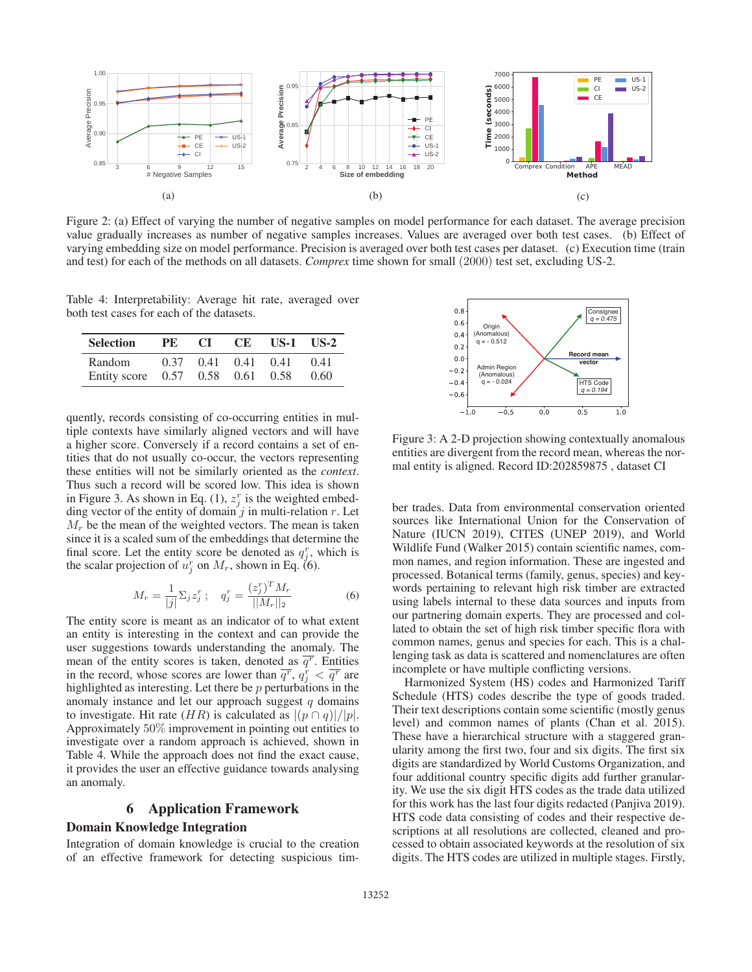

Figure 2: (a) Effect of varying the number of negative samples on model performance for each dataset. The average precision value gradually increases as number of negative samples increases. Values are averaged over both test cases. (b) Effect of varying embedding size on model performance. Precision is averaged over both test cases per dataset. (c) Execution time (train and test) for each of the methods on all datasets. *Comprex* time shown for small (2000) test set, excluding US-2.

Table 4: Interpretability: Average hit rate, averaged over both test cases for each of the datasets.

| <b>Selection</b> | PE   | CI.                  | CE.               | $US-1$ $US-2$ |      |
|------------------|------|----------------------|-------------------|---------------|------|
| Random           | 0.37 | 0.41                 | $0.41 \quad 0.41$ |               | 0.41 |
| Entity score     |      | $0.57$ $0.58$ $0.61$ |                   | 0.58          | 0.60 |

quently, records consisting of co-occurring entities in multiple contexts have similarly aligned vectors and will have a higher score. Conversely if a record contains a set of entities that do not usually co-occur, the vectors representing these entities will not be similarly oriented as the *context*. Thus such a record will be scored low. This idea is shown in Figure 3. As shown in Eq. (1),  $z_j^r$  is the weighted embedding vector of the entity of domain j in multi-relation  $r$ . Let  $M_r$  be the mean of the weighted vectors. The mean is taken since it is a scaled sum of the embeddings that determine the final score. Let the entity score be denoted as  $q_j^r$ , which is the scalar projection of  $u_j^r$  on  $M_r$ , shown in Eq. (6).

$$
M_r = \frac{1}{|j|} \Sigma_j z_j^r \; ; \quad q_j^r = \frac{(z_j^r)^T M_r}{||M_r||_2} \tag{6}
$$

The entity score is meant as an indicator of to what extent an entity is interesting in the context and can provide the user suggestions towards understanding the anomaly. The mean of the entity scores is taken, denoted as  $\overline{q^r}$ . Entities in the record, whose scores are lower than  $\overline{q}$ <sup>r</sup>,  $q_j^r < \overline{q}$ <sup>r</sup> are highlighted as interesting. Let there be  $p$  perturbations in the anomaly instance and let our approach suggest  $q$  domains to investigate. Hit rate  $(HR)$  is calculated as  $|(p \cap q)|/|p|$ . Approximately 50% improvement in pointing out entities to investigate over a random approach is achieved, shown in Table 4. While the approach does not find the exact cause, it provides the user an effective guidance towards analysing an anomaly.

# 6 Application Framework Domain Knowledge Integration

Integration of domain knowledge is crucial to the creation of an effective framework for detecting suspicious tim-



Figure 3: A 2-D projection showing contextually anomalous entities are divergent from the record mean, whereas the normal entity is aligned. Record ID:202859875 , dataset CI

ber trades. Data from environmental conservation oriented sources like International Union for the Conservation of Nature (IUCN 2019), CITES (UNEP 2019), and World Wildlife Fund (Walker 2015) contain scientific names, common names, and region information. These are ingested and processed. Botanical terms (family, genus, species) and keywords pertaining to relevant high risk timber are extracted using labels internal to these data sources and inputs from our partnering domain experts. They are processed and collated to obtain the set of high risk timber specific flora with common names, genus and species for each. This is a challenging task as data is scattered and nomenclatures are often incomplete or have multiple conflicting versions.

Harmonized System (HS) codes and Harmonized Tariff Schedule (HTS) codes describe the type of goods traded. Their text descriptions contain some scientific (mostly genus level) and common names of plants (Chan et al. 2015). These have a hierarchical structure with a staggered granularity among the first two, four and six digits. The first six digits are standardized by World Customs Organization, and four additional country specific digits add further granularity. We use the six digit HTS codes as the trade data utilized for this work has the last four digits redacted (Panjiva 2019). HTS code data consisting of codes and their respective descriptions at all resolutions are collected, cleaned and processed to obtain associated keywords at the resolution of six digits. The HTS codes are utilized in multiple stages. Firstly,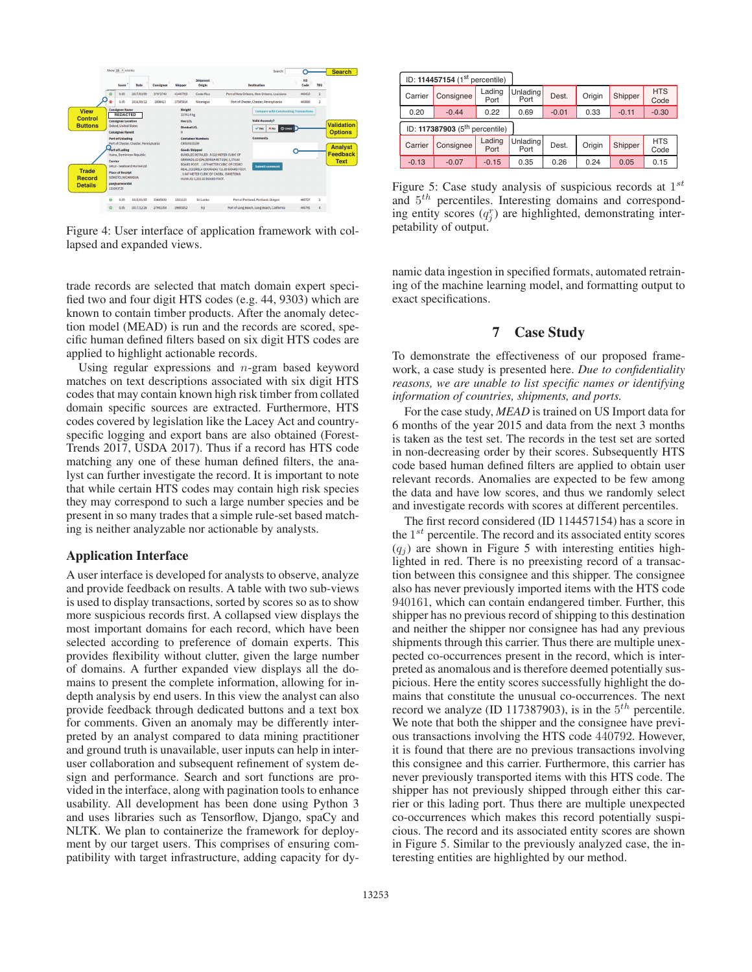

Figure 4: User interface of application framework with collapsed and expanded views.

trade records are selected that match domain expert specified two and four digit HTS codes (e.g. 44, 9303) which are known to contain timber products. After the anomaly detection model (MEAD) is run and the records are scored, specific human defined filters based on six digit HTS codes are applied to highlight actionable records.

Using regular expressions and  $n$ -gram based keyword matches on text descriptions associated with six digit HTS codes that may contain known high risk timber from collated domain specific sources are extracted. Furthermore, HTS codes covered by legislation like the Lacey Act and countryspecific logging and export bans are also obtained (Forest-Trends 2017, USDA 2017). Thus if a record has HTS code matching any one of these human defined filters, the analyst can further investigate the record. It is important to note that while certain HTS codes may contain high risk species they may correspond to such a large number species and be present in so many trades that a simple rule-set based matching is neither analyzable nor actionable by analysts.

#### Application Interface

A user interface is developed for analysts to observe, analyze and provide feedback on results. A table with two sub-views is used to display transactions, sorted by scores so as to show more suspicious records first. A collapsed view displays the most important domains for each record, which have been selected according to preference of domain experts. This provides flexibility without clutter, given the large number of domains. A further expanded view displays all the domains to present the complete information, allowing for indepth analysis by end users. In this view the analyst can also provide feedback through dedicated buttons and a text box for comments. Given an anomaly may be differently interpreted by an analyst compared to data mining practitioner and ground truth is unavailable, user inputs can help in interuser collaboration and subsequent refinement of system design and performance. Search and sort functions are provided in the interface, along with pagination tools to enhance usability. All development has been done using Python 3 and uses libraries such as Tensorflow, Django, spaCy and NLTK. We plan to containerize the framework for deployment by our target users. This comprises of ensuring compatibility with target infrastructure, adding capacity for dy-

| ID: 114457154 (1 <sup>st</sup> percentile) |           |                |                  |         |        |         |                    |
|--------------------------------------------|-----------|----------------|------------------|---------|--------|---------|--------------------|
| Carrier                                    | Consignee | Lading<br>Port | Unlading<br>Port | Dest.   | Origin | Shipper | <b>HTS</b><br>Code |
| 0.20                                       | $-0.44$   | 0.22           | 0.69             | $-0.01$ | 0.33   | $-0.11$ | $-0.30$            |
| ID: 117387903 $(5th$ percentile)           |           |                |                  |         |        |         |                    |
| Carrier                                    | Consignee | Lading<br>Port | Unlading<br>Port | Dest.   | Origin | Shipper | <b>HTS</b><br>Code |
| $-0.13$                                    | $-0.07$   | $-0.15$        | 0.35             | 0.26    | 0.24   | 0.05    | 0.15               |

Figure 5: Case study analysis of suspicious records at  $1^{st}$ and 5th percentiles. Interesting domains and corresponding entity scores  $(q_j^r)$  are highlighted, demonstrating interpetability of output.

namic data ingestion in specified formats, automated retraining of the machine learning model, and formatting output to exact specifications.

# 7 Case Study

To demonstrate the effectiveness of our proposed framework, a case study is presented here. *Due to confidentiality reasons, we are unable to list specific names or identifying information of countries, shipments, and ports.*

For the case study, *MEAD* is trained on US Import data for 6 months of the year 2015 and data from the next 3 months is taken as the test set. The records in the test set are sorted in non-decreasing order by their scores. Subsequently HTS code based human defined filters are applied to obtain user relevant records. Anomalies are expected to be few among the data and have low scores, and thus we randomly select and investigate records with scores at different percentiles.

The first record considered (ID 114457154) has a score in the  $1^{st}$  percentile. The record and its associated entity scores  $(q_i)$  are shown in Figure 5 with interesting entities highlighted in red. There is no preexisting record of a transaction between this consignee and this shipper. The consignee also has never previously imported items with the HTS code 940161, which can contain endangered timber. Further, this shipper has no previous record of shipping to this destination and neither the shipper nor consignee has had any previous shipments through this carrier. Thus there are multiple unexpected co-occurrences present in the record, which is interpreted as anomalous and is therefore deemed potentially suspicious. Here the entity scores successfully highlight the domains that constitute the unusual co-occurrences. The next record we analyze (ID 117387903), is in the  $5<sup>th</sup>$  percentile. We note that both the shipper and the consignee have previous transactions involving the HTS code 440792. However, it is found that there are no previous transactions involving this consignee and this carrier. Furthermore, this carrier has never previously transported items with this HTS code. The shipper has not previously shipped through either this carrier or this lading port. Thus there are multiple unexpected co-occurrences which makes this record potentially suspicious. The record and its associated entity scores are shown in Figure 5. Similar to the previously analyzed case, the interesting entities are highlighted by our method.